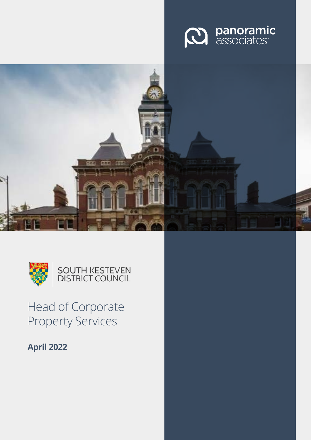





# Head of Corporate Property Services

**April 2022**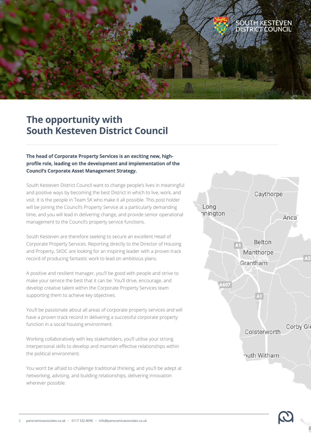

## **The opportunity with South Kesteven District Council**

#### **The head of Corporate Property Services is an exciting new, highprofile role, leading on the development and implementation of the Council's Corporate Asset Management Strategy.**

South Kesteven District Council want to change people's lives in meaningful and positive ways by becoming the best District in which to live, work, and visit. It is the people in Team SK who make it all possible. This post holder will be joining the Council's Property Service at a particularly demanding time, and you will lead in delivering change, and provide senior operational management to the Council's property service functions.

South Kesteven are therefore seeking to secure an excellent Head of Corporate Property Services. Reporting directly to the Director of Housing and Property, SKDC are looking for an inspiring leader with a proven track record of producing fantastic work to lead on ambitious plans.

A positive and resilient manager, you'll be good with people and strive to make your service the best that it can be. You'll drive, encourage, and develop creative talent within the Corporate Property Services team supporting them to achieve key objectives.

You'll be passionate about all areas of corporate property services and will have a proven track record in delivering a successful corporate property function in a social housing environment.

Working collaboratively with key stakeholders, you'll utilise your strong interpersonal skills to develop and maintain effective relationships within the political environment.

You won't be afraid to challenge traditional thinking, and you'll be adept at networking, advising, and building relationships, delivering innovation wherever possible.



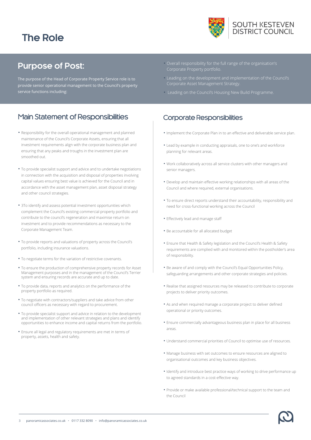## **The Role**



### **Purpose of Post:**

The purpose of the Head of Corporate Property Service role is to provide senior operational management to the Council's property service functions including:

### Main Statement of Responsibilities

- **•** Responsibility for the overall operational management and planned maintenance of the Council's Corporate Assets, ensuring that all investment requirements align with the corporate business plan and ensuring that any peaks and troughs in the investment plan are smoothed out.
- **•** To provide specialist support and advice and to undertake negotiations in connection with the acquisition and disposal of properties involving capital values ensuring best value is achieved for the Council and in accordance with the asset management plan, asset disposal strategy and other council strategies.
- **•** 3To identify and assess potential investment opportunities which complement the Council's existing commercial property portfolio and contribute to the council's regeneration and maximise return on investment and to provide recommendations as necessary to the Corporate Management Team.
- **•** To provide reports and valuations of property across the Council's portfolio, including insurance valuations.
- **•** To negotiate terms for the variation of restrictive covenants.
- **•** To ensure the production of comprehensive property records for Asset Management purposes and in the management of the Council's Terrier system and ensuring records are accurate and up to date.
- **•** To provide data, reports and analytics on the performance of the property portfolio as required.
- **•** To negotiate with contractors/suppliers and take advice from other council officers as necessary with regard to procurement.
- **•** To provide specialist support and advice in relation to the development and implementation of other relevant strategies and plans and identify opportunities to enhance income and capital returns from the portfolio.
- **•** Ensure all legal and regulatory requirements are met in terms of property, assets, health and safety.
- **•** Overall responsibility for the full range of the organisation's
- **•** Leading on the development and implementation of the Council's Corporate Asset Management Strategy.
- **•** Leading on the Council's Housing New Build Programme.

### Corporate Responsibilities

- **•** Implement the Corporate Plan in to an effective and deliverable service plan.
- **•** Lead by example in conducting appraisals, one to one's and workforce planning for relevant areas.
- **•** Work collaboratively across all service clusters with other managers and senior managers.
- **•** Develop and maintain effective working relationships with all areas of the Council and where required, external organisations.
- **•** To ensure direct reports understand their accountability, responsibility and need for cross-functional working across the Council
- **•** Effectively lead and manage staff
- **•** Be accountable for all allocated budget
- **•** Ensure that Health & Safety legislation and the Council's Health & Safety requirements are complied with and monitored within the postholder's area of responsibility.
- **•** Be aware of and comply with the Council's Equal Opportunities Policy, safeguarding arrangements and other corporate strategies and policies.
- **•** Realise that assigned resources may be released to contribute to corporate projects to deliver priority outcomes.
- **•** As and when required manage a corporate project to deliver defined operational or priority outcomes.
- **•** Ensure commercially advantageous business plan in place for all business areas.
- **•** Understand commercial priorities of Council to optimise use of resources.
- **•** Manage business with set outcomes to ensure resources are aligned to organisational outcomes and key business objectives.
- **•** Identify and introduce best practice ways of working to drive performance up to agreed standards in a cost-effective way.
- **•** Provide or make available professional/technical support to the team and the Council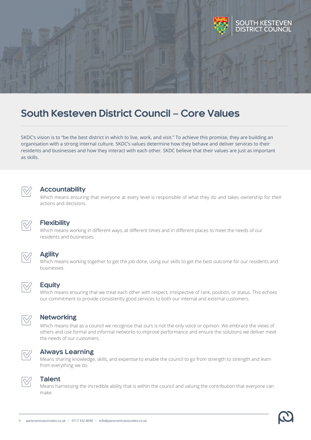

## **South Kesteven District Council – Core Values**

SKDC's vision is to "be the best district in which to live, work, and visit." To achieve this promise, they are building an organisation with a strong internal culture. SKDC's values determine how they behave and deliver services to their residents and businesses and how they interact with each other. SKDC believe that their values are just as important as skills.



#### **Accountability**

Which means ensuring that everyone at every level is responsible of what they do and takes ownership for their actions and decisions.



#### **Flexibility**

Which means working in different ways, at different times and in different places to meet the needs of our residents and businesses.

#### **Agility**

Which means working together to get the job done, using our skills to get the best outcome for our residents and businesses.



#### **Equity**

Which means ensuring that we treat each other with respect, irrespective of rank, position, or status. This echoes our commitment to provide consistently good services to both our internal and external customers.



#### **Networking**

Which means that as a council we recognise that ours is not the only voice or opinion. We embrace the views of others and use formal and informal networks to improve performance and ensure the solutions we deliver meet the needs of our customers.



#### **Always Learning**

Means sharing knowledge, skills, and expertise to enable the council to go from strength to strength and learn from everything we do.



#### **Talent**

Means harnessing the incredible ability that is within the council and valuing the contribution that everyone can make.

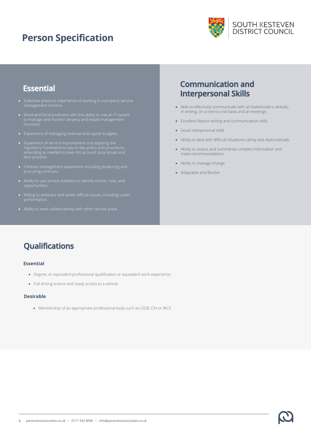## **Person Specification**



### **Essential**

- 
- functions.
- Experience of managing revenue and capital budgets.
- best practice.
- 
- 
- 
- 

### **Communication and Interpersonal Skills**

- Able to effectively communicate with all Stakeholders verbally, in writing, on a one-to-one basis and at meetings
- Excellent Report writing and communication skills
- Good interpersonal skills
- Ability to deal with difficult situations calmly and diplomatically
- Ability to assess and summarise complex information and make recommendations
- Ability to manage change
- Adaptable and flexible

## **Qualifications**

#### **Essential**

- Degree, or equivalent professional qualification or equivalent work experience.
- Full driving licence and ready access to a vehicle.

#### **Desirable**

• Membership of an appropriate professional body such as CIOB, CIH or RICS.